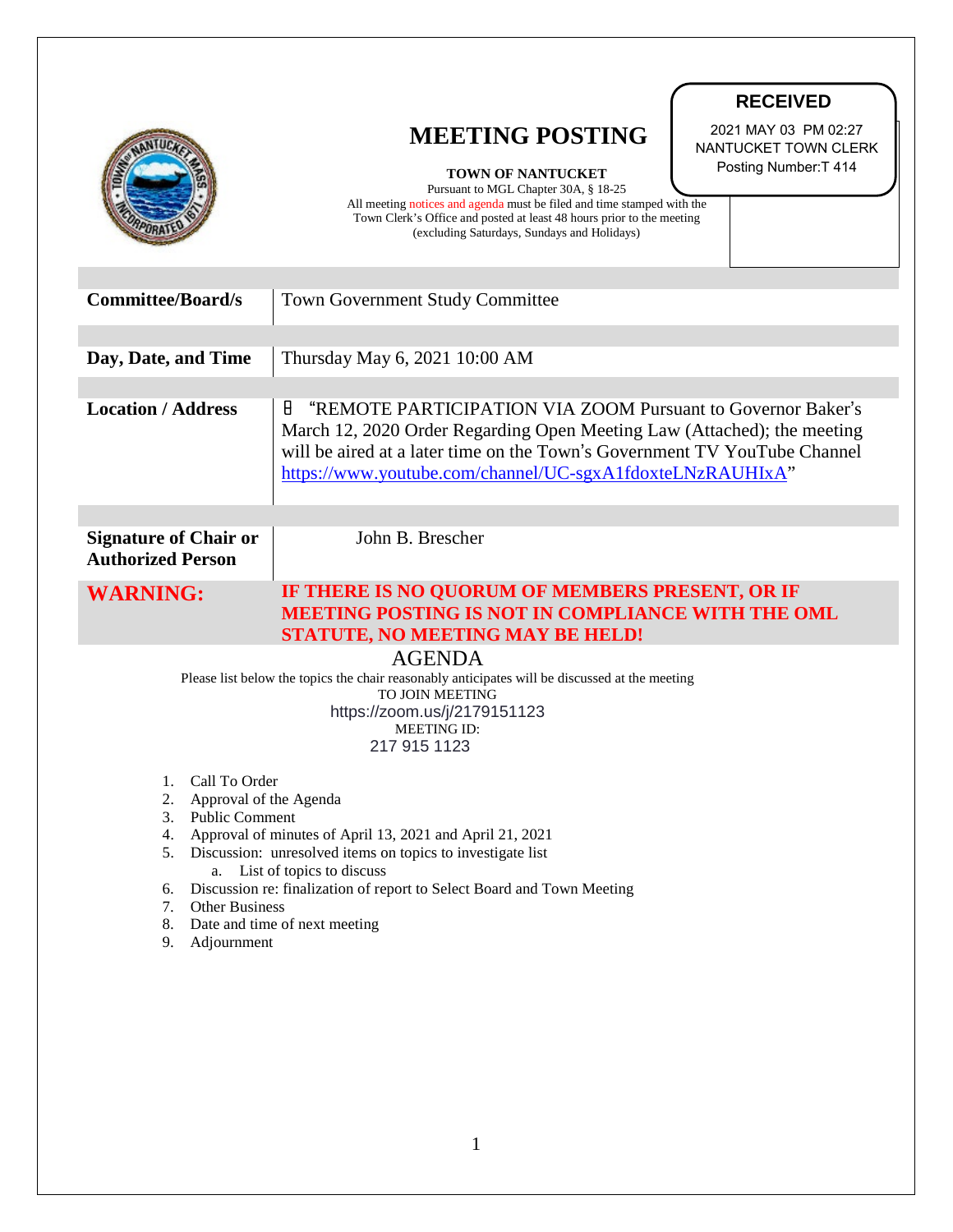|                                                                                                                                                                                                                                                                                                                                                                                                                        | <b>RECEIVED</b><br>2021 MAY 03 PM 02:27<br><b>MEETING POSTING</b><br>NANTUCKET TOWN CLERK<br>Posting Number: T 414<br><b>TOWN OF NANTUCKET</b><br>Pursuant to MGL Chapter 30A, § 18-25<br>All meeting notices and agenda must be filed and time stamped with the<br>Town Clerk's Office and posted at least 48 hours prior to the meeting<br>(excluding Saturdays, Sundays and Holidays) |
|------------------------------------------------------------------------------------------------------------------------------------------------------------------------------------------------------------------------------------------------------------------------------------------------------------------------------------------------------------------------------------------------------------------------|------------------------------------------------------------------------------------------------------------------------------------------------------------------------------------------------------------------------------------------------------------------------------------------------------------------------------------------------------------------------------------------|
| <b>Committee/Board/s</b>                                                                                                                                                                                                                                                                                                                                                                                               | <b>Town Government Study Committee</b>                                                                                                                                                                                                                                                                                                                                                   |
| Day, Date, and Time                                                                                                                                                                                                                                                                                                                                                                                                    | Thursday May 6, 2021 10:00 AM                                                                                                                                                                                                                                                                                                                                                            |
| <b>Location / Address</b>                                                                                                                                                                                                                                                                                                                                                                                              | Н<br>"REMOTE PARTICIPATION VIA ZOOM Pursuant to Governor Baker's<br>March 12, 2020 Order Regarding Open Meeting Law (Attached); the meeting<br>will be aired at a later time on the Town's Government TV YouTube Channel<br>https://www.youtube.com/channel/UC-sgxA1fdoxteLNzRAUHIxA"                                                                                                    |
| <b>Signature of Chair or</b><br><b>Authorized Person</b>                                                                                                                                                                                                                                                                                                                                                               | John B. Brescher                                                                                                                                                                                                                                                                                                                                                                         |
| <b>WARNING:</b>                                                                                                                                                                                                                                                                                                                                                                                                        | IF THERE IS NO QUORUM OF MEMBERS PRESENT, OR IF<br><b>MEETING POSTING IS NOT IN COMPLIANCE WITH THE OML</b><br>STATUTE, NO MEETING MAY BE HELD!                                                                                                                                                                                                                                          |
| <b>AGENDA</b><br>Please list below the topics the chair reasonably anticipates will be discussed at the meeting<br>TO JOIN MEETING<br>https://zoom.us/j/2179151123<br><b>MEETING ID:</b><br>217 915 1123                                                                                                                                                                                                               |                                                                                                                                                                                                                                                                                                                                                                                          |
| Call To Order<br>1.<br>2.<br>Approval of the Agenda<br><b>Public Comment</b><br>3.<br>Approval of minutes of April 13, 2021 and April 21, 2021<br>4.<br>Discussion: unresolved items on topics to investigate list<br>5.<br>a. List of topics to discuss<br>Discussion re: finalization of report to Select Board and Town Meeting<br>6.<br>Other Business<br>7.<br>8. Date and time of next meeting<br>9. Adjournment |                                                                                                                                                                                                                                                                                                                                                                                          |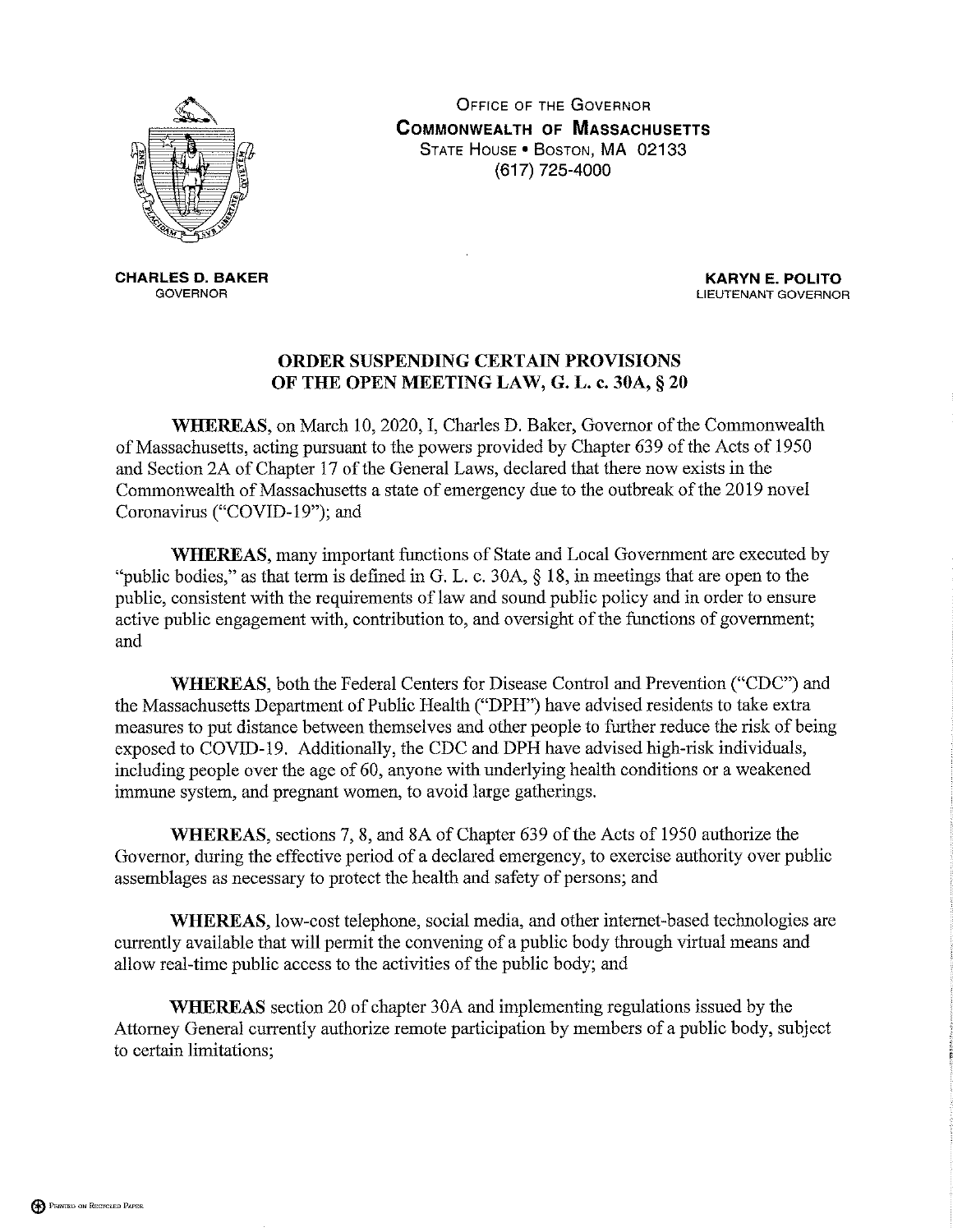

**OFFICE OF THE GOVERNOR COMMONWEALTH OF MASSACHUSETTS** STATE HOUSE . BOSTON, MA 02133 (617) 725-4000

**CHARLES D. BAKER GOVERNOR** 

**KARYN E. POLITO** LIEUTENANT GOVERNOR

## ORDER SUSPENDING CERTAIN PROVISIONS OF THE OPEN MEETING LAW, G. L. c. 30A, § 20

WHEREAS, on March 10, 2020, I, Charles D. Baker, Governor of the Commonwealth of Massachusetts, acting pursuant to the powers provided by Chapter 639 of the Acts of 1950 and Section 2A of Chapter 17 of the General Laws, declared that there now exists in the Commonwealth of Massachusetts a state of emergency due to the outbreak of the 2019 novel Coronavirus ("COVID-19"); and

**WHEREAS**, many important functions of State and Local Government are executed by "public bodies," as that term is defined in G. L. c. 30A,  $\S$  18, in meetings that are open to the public, consistent with the requirements of law and sound public policy and in order to ensure active public engagement with, contribution to, and oversight of the functions of government; and

WHEREAS, both the Federal Centers for Disease Control and Prevention ("CDC") and the Massachusetts Department of Public Health ("DPH") have advised residents to take extra measures to put distance between themselves and other people to further reduce the risk of being exposed to COVID-19. Additionally, the CDC and DPH have advised high-risk individuals, including people over the age of 60, anyone with underlying health conditions or a weakened immune system, and pregnant women, to avoid large gatherings.

WHEREAS, sections 7, 8, and 8A of Chapter 639 of the Acts of 1950 authorize the Governor, during the effective period of a declared emergency, to exercise authority over public assemblages as necessary to protect the health and safety of persons; and

WHEREAS, low-cost telephone, social media, and other internet-based technologies are currently available that will permit the convening of a public body through virtual means and allow real-time public access to the activities of the public body; and

**WHEREAS** section 20 of chapter 30A and implementing regulations issued by the Attorney General currently authorize remote participation by members of a public body, subject to certain limitations;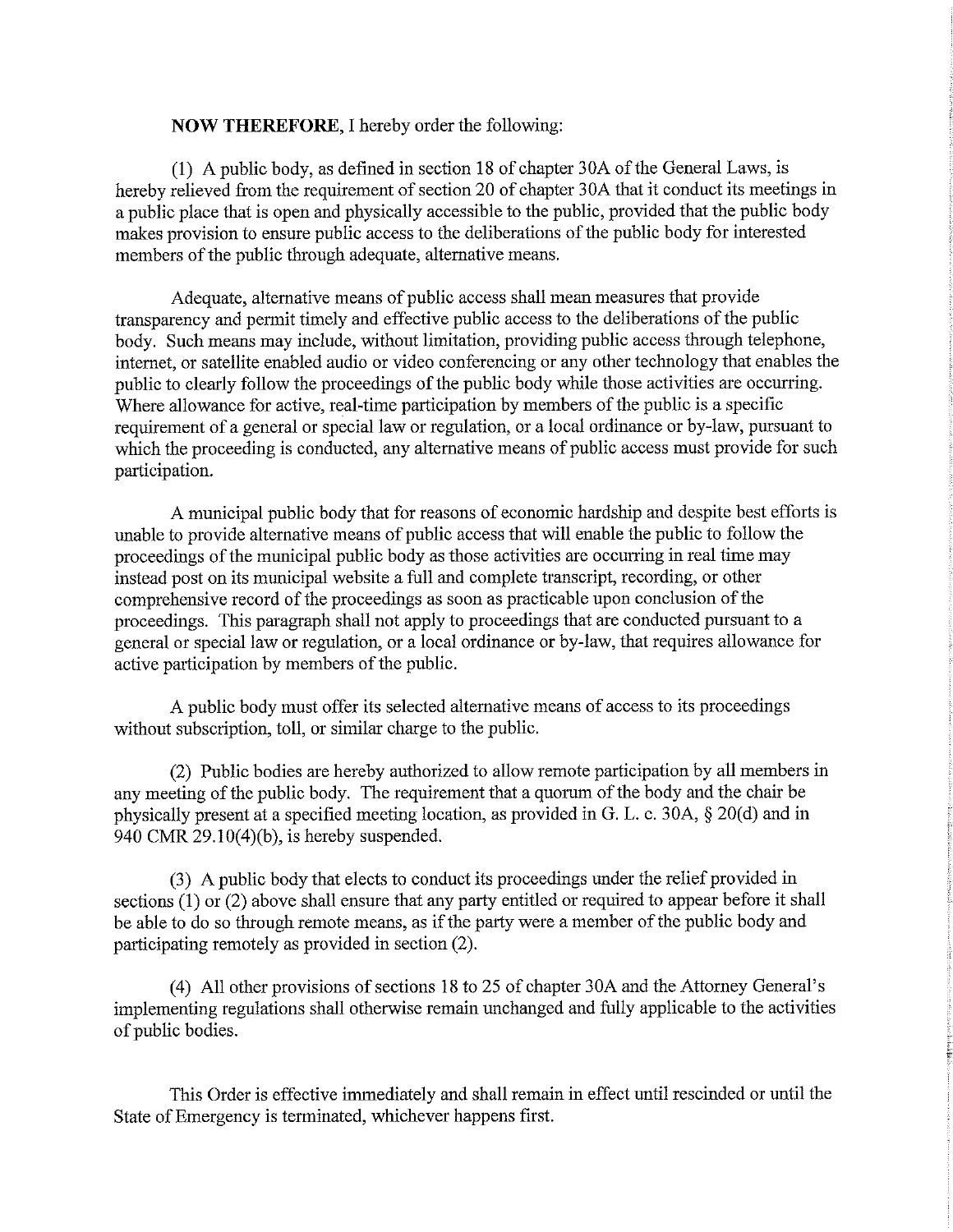## **NOW THEREFORE, I hereby order the following:**

(1) A public body, as defined in section 18 of chapter 30A of the General Laws, is hereby relieved from the requirement of section 20 of chapter 30A that it conduct its meetings in a public place that is open and physically accessible to the public, provided that the public body makes provision to ensure public access to the deliberations of the public body for interested members of the public through adequate, alternative means.

Adequate, alternative means of public access shall mean measures that provide transparency and permit timely and effective public access to the deliberations of the public body. Such means may include, without limitation, providing public access through telephone, internet, or satellite enabled audio or video conferencing or any other technology that enables the public to clearly follow the proceedings of the public body while those activities are occurring. Where allowance for active, real-time participation by members of the public is a specific requirement of a general or special law or regulation, or a local ordinance or by-law, pursuant to which the proceeding is conducted, any alternative means of public access must provide for such participation.

A municipal public body that for reasons of economic hardship and despite best efforts is unable to provide alternative means of public access that will enable the public to follow the proceedings of the municipal public body as those activities are occurring in real time may instead post on its municipal website a full and complete transcript, recording, or other comprehensive record of the proceedings as soon as practicable upon conclusion of the proceedings. This paragraph shall not apply to proceedings that are conducted pursuant to a general or special law or regulation, or a local ordinance or by-law, that requires allowance for active participation by members of the public.

A public body must offer its selected alternative means of access to its proceedings without subscription, toll, or similar charge to the public.

(2) Public bodies are hereby authorized to allow remote participation by all members in any meeting of the public body. The requirement that a quorum of the body and the chair be physically present at a specified meeting location, as provided in G. L. c. 30A, § 20(d) and in 940 CMR  $29.10(4)(b)$ , is hereby suspended.

(3) A public body that elects to conduct its proceedings under the relief provided in sections  $(1)$  or  $(2)$  above shall ensure that any party entitled or required to appear before it shall be able to do so through remote means, as if the party were a member of the public body and participating remotely as provided in section (2).

(4) All other provisions of sections 18 to 25 of chapter 30A and the Attorney General's implementing regulations shall otherwise remain unchanged and fully applicable to the activities of public bodies.

This Order is effective immediately and shall remain in effect until rescinded or until the State of Emergency is terminated, whichever happens first.